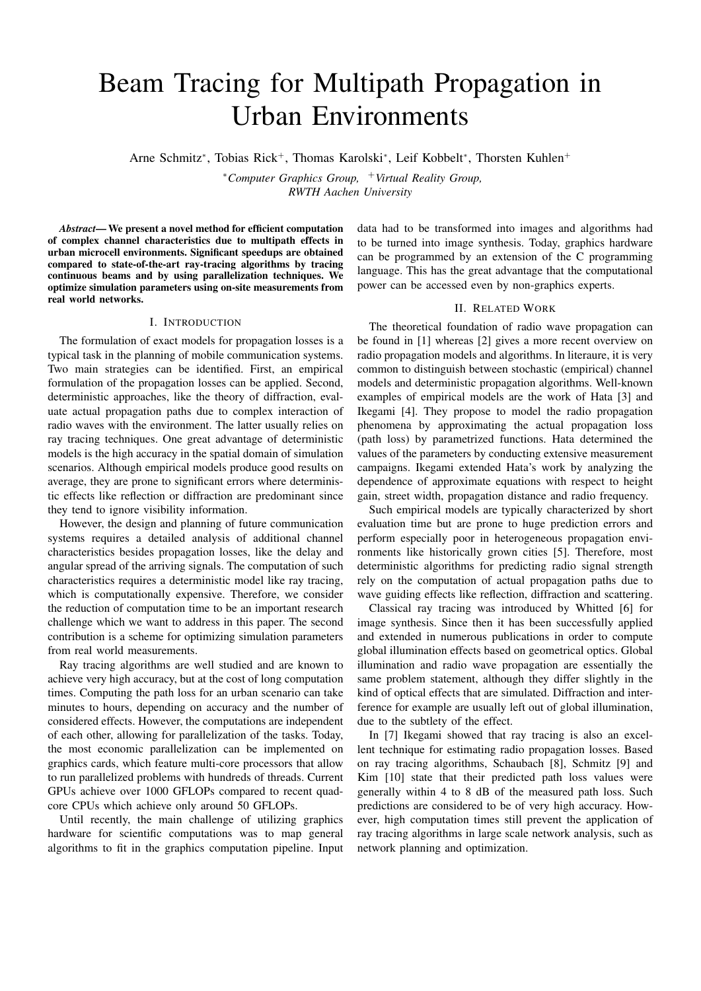# Beam Tracing for Multipath Propagation in Urban Environments

Arne Schmitz\*, Tobias Rick<sup>+</sup>, Thomas Karolski\*, Leif Kobbelt\*, Thorsten Kuhlen<sup>+</sup>

<sup>∗</sup>*Computer Graphics Group,* <sup>+</sup>*Virtual Reality Group, RWTH Aachen University*

*Abstract*— We present a novel method for efficient computation of complex channel characteristics due to multipath effects in urban microcell environments. Significant speedups are obtained compared to state-of-the-art ray-tracing algorithms by tracing continuous beams and by using parallelization techniques. We optimize simulation parameters using on-site measurements from real world networks.

### I. INTRODUCTION

The formulation of exact models for propagation losses is a typical task in the planning of mobile communication systems. Two main strategies can be identified. First, an empirical formulation of the propagation losses can be applied. Second, deterministic approaches, like the theory of diffraction, evaluate actual propagation paths due to complex interaction of radio waves with the environment. The latter usually relies on ray tracing techniques. One great advantage of deterministic models is the high accuracy in the spatial domain of simulation scenarios. Although empirical models produce good results on average, they are prone to significant errors where deterministic effects like reflection or diffraction are predominant since they tend to ignore visibility information.

However, the design and planning of future communication systems requires a detailed analysis of additional channel characteristics besides propagation losses, like the delay and angular spread of the arriving signals. The computation of such characteristics requires a deterministic model like ray tracing, which is computationally expensive. Therefore, we consider the reduction of computation time to be an important research challenge which we want to address in this paper. The second contribution is a scheme for optimizing simulation parameters from real world measurements.

Ray tracing algorithms are well studied and are known to achieve very high accuracy, but at the cost of long computation times. Computing the path loss for an urban scenario can take minutes to hours, depending on accuracy and the number of considered effects. However, the computations are independent of each other, allowing for parallelization of the tasks. Today, the most economic parallelization can be implemented on graphics cards, which feature multi-core processors that allow to run parallelized problems with hundreds of threads. Current GPUs achieve over 1000 GFLOPs compared to recent quadcore CPUs which achieve only around 50 GFLOPs.

Until recently, the main challenge of utilizing graphics hardware for scientific computations was to map general algorithms to fit in the graphics computation pipeline. Input data had to be transformed into images and algorithms had to be turned into image synthesis. Today, graphics hardware can be programmed by an extension of the C programming language. This has the great advantage that the computational power can be accessed even by non-graphics experts.

# II. RELATED WORK

The theoretical foundation of radio wave propagation can be found in [1] whereas [2] gives a more recent overview on radio propagation models and algorithms. In literaure, it is very common to distinguish between stochastic (empirical) channel models and deterministic propagation algorithms. Well-known examples of empirical models are the work of Hata [3] and Ikegami [4]. They propose to model the radio propagation phenomena by approximating the actual propagation loss (path loss) by parametrized functions. Hata determined the values of the parameters by conducting extensive measurement campaigns. Ikegami extended Hata's work by analyzing the dependence of approximate equations with respect to height gain, street width, propagation distance and radio frequency.

Such empirical models are typically characterized by short evaluation time but are prone to huge prediction errors and perform especially poor in heterogeneous propagation environments like historically grown cities [5]. Therefore, most deterministic algorithms for predicting radio signal strength rely on the computation of actual propagation paths due to wave guiding effects like reflection, diffraction and scattering.

Classical ray tracing was introduced by Whitted [6] for image synthesis. Since then it has been successfully applied and extended in numerous publications in order to compute global illumination effects based on geometrical optics. Global illumination and radio wave propagation are essentially the same problem statement, although they differ slightly in the kind of optical effects that are simulated. Diffraction and interference for example are usually left out of global illumination, due to the subtlety of the effect.

In [7] Ikegami showed that ray tracing is also an excellent technique for estimating radio propagation losses. Based on ray tracing algorithms, Schaubach [8], Schmitz [9] and Kim [10] state that their predicted path loss values were generally within 4 to 8 dB of the measured path loss. Such predictions are considered to be of very high accuracy. However, high computation times still prevent the application of ray tracing algorithms in large scale network analysis, such as network planning and optimization.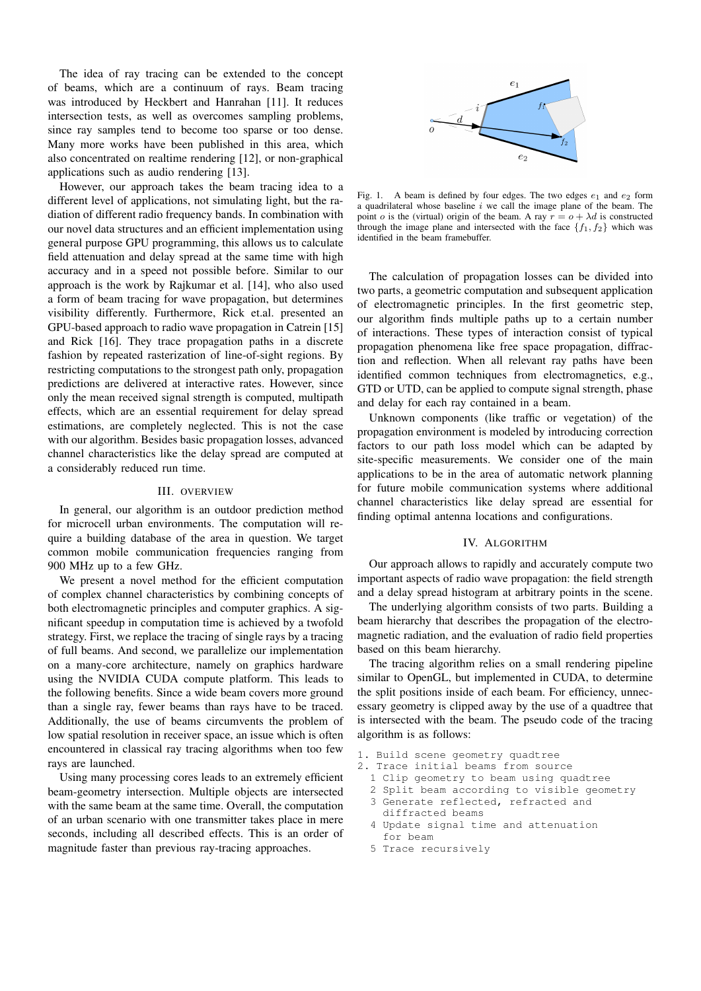The idea of ray tracing can be extended to the concept of beams, which are a continuum of rays. Beam tracing was introduced by Heckbert and Hanrahan [11]. It reduces intersection tests, as well as overcomes sampling problems, since ray samples tend to become too sparse or too dense. Many more works have been published in this area, which also concentrated on realtime rendering [12], or non-graphical applications such as audio rendering [13].

However, our approach takes the beam tracing idea to a different level of applications, not simulating light, but the radiation of different radio frequency bands. In combination with our novel data structures and an efficient implementation using general purpose GPU programming, this allows us to calculate field attenuation and delay spread at the same time with high accuracy and in a speed not possible before. Similar to our approach is the work by Rajkumar et al. [14], who also used a form of beam tracing for wave propagation, but determines visibility differently. Furthermore, Rick et.al. presented an GPU-based approach to radio wave propagation in Catrein [15] and Rick [16]. They trace propagation paths in a discrete fashion by repeated rasterization of line-of-sight regions. By restricting computations to the strongest path only, propagation predictions are delivered at interactive rates. However, since only the mean received signal strength is computed, multipath effects, which are an essential requirement for delay spread estimations, are completely neglected. This is not the case with our algorithm. Besides basic propagation losses, advanced channel characteristics like the delay spread are computed at a considerably reduced run time.

## III. OVERVIEW

In general, our algorithm is an outdoor prediction method for microcell urban environments. The computation will require a building database of the area in question. We target common mobile communication frequencies ranging from 900 MHz up to a few GHz.

We present a novel method for the efficient computation of complex channel characteristics by combining concepts of both electromagnetic principles and computer graphics. A significant speedup in computation time is achieved by a twofold strategy. First, we replace the tracing of single rays by a tracing of full beams. And second, we parallelize our implementation on a many-core architecture, namely on graphics hardware using the NVIDIA CUDA compute platform. This leads to the following benefits. Since a wide beam covers more ground than a single ray, fewer beams than rays have to be traced. Additionally, the use of beams circumvents the problem of low spatial resolution in receiver space, an issue which is often encountered in classical ray tracing algorithms when too few rays are launched.

Using many processing cores leads to an extremely efficient beam-geometry intersection. Multiple objects are intersected with the same beam at the same time. Overall, the computation of an urban scenario with one transmitter takes place in mere seconds, including all described effects. This is an order of magnitude faster than previous ray-tracing approaches.



Fig. 1. A beam is defined by four edges. The two edges  $e_1$  and  $e_2$  form a quadrilateral whose baseline  $i$  we call the image plane of the beam. The point *o* is the (virtual) origin of the beam. A ray  $r = o + \lambda d$  is constructed through the image plane and intersected with the face  $\{f_1, f_2\}$  which was identified in the beam framebuffer.

The calculation of propagation losses can be divided into two parts, a geometric computation and subsequent application of electromagnetic principles. In the first geometric step, our algorithm finds multiple paths up to a certain number of interactions. These types of interaction consist of typical propagation phenomena like free space propagation, diffraction and reflection. When all relevant ray paths have been identified common techniques from electromagnetics, e.g., GTD or UTD, can be applied to compute signal strength, phase and delay for each ray contained in a beam.

Unknown components (like traffic or vegetation) of the propagation environment is modeled by introducing correction factors to our path loss model which can be adapted by site-specific measurements. We consider one of the main applications to be in the area of automatic network planning for future mobile communication systems where additional channel characteristics like delay spread are essential for finding optimal antenna locations and configurations.

## IV. ALGORITHM

Our approach allows to rapidly and accurately compute two important aspects of radio wave propagation: the field strength and a delay spread histogram at arbitrary points in the scene.

The underlying algorithm consists of two parts. Building a beam hierarchy that describes the propagation of the electromagnetic radiation, and the evaluation of radio field properties based on this beam hierarchy.

The tracing algorithm relies on a small rendering pipeline similar to OpenGL, but implemented in CUDA, to determine the split positions inside of each beam. For efficiency, unnecessary geometry is clipped away by the use of a quadtree that is intersected with the beam. The pseudo code of the tracing algorithm is as follows:

- 1. Build scene geometry quadtree
- 2. Trace initial beams from source
	- 1 Clip geometry to beam using quadtree
	- 2 Split beam according to visible geometry
	- 3 Generate reflected, refracted and diffracted beams
	- Update signal time and attenuation for beam
	- 5 Trace recursively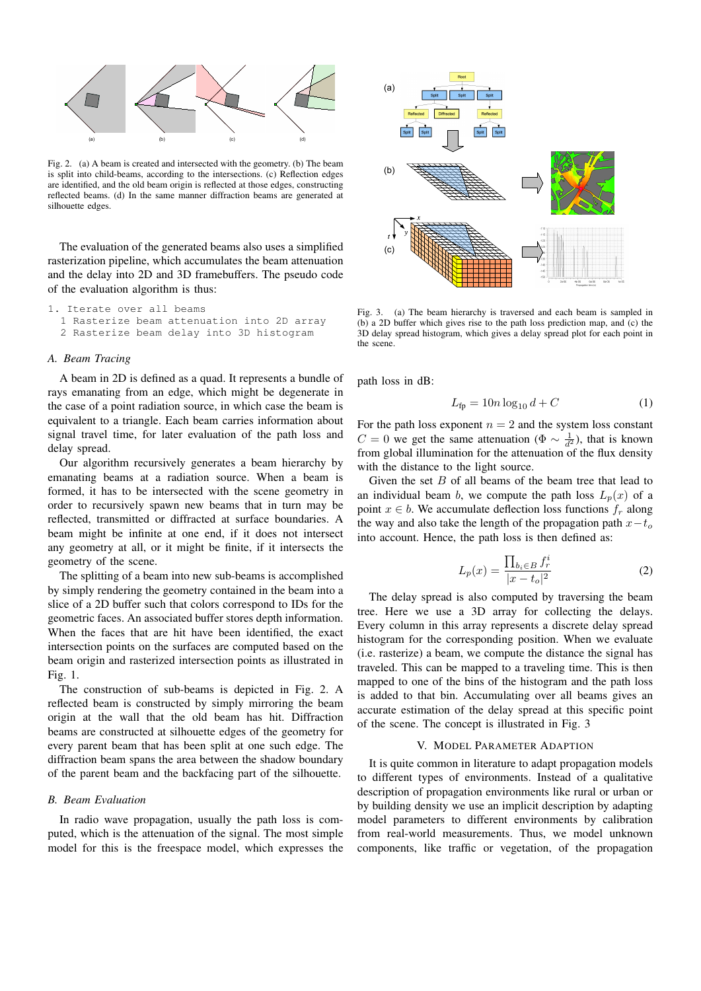

Fig. 2. (a) A beam is created and intersected with the geometry. (b) The beam is split into child-beams, according to the intersections. (c) Reflection edges are identified, and the old beam origin is reflected at those edges, constructing reflected beams. (d) In the same manner diffraction beams are generated at silhouette edges.

The evaluation of the generated beams also uses a simplified rasterization pipeline, which accumulates the beam attenuation and the delay into 2D and 3D framebuffers. The pseudo code of the evaluation algorithm is thus:

```
1. Iterate over all beams
1 Rasterize beam attenuation into 2D array
2 Rasterize beam delay into 3D histogram
```
### *A. Beam Tracing*

A beam in 2D is defined as a quad. It represents a bundle of rays emanating from an edge, which might be degenerate in the case of a point radiation source, in which case the beam is equivalent to a triangle. Each beam carries information about signal travel time, for later evaluation of the path loss and delay spread.

Our algorithm recursively generates a beam hierarchy by emanating beams at a radiation source. When a beam is formed, it has to be intersected with the scene geometry in order to recursively spawn new beams that in turn may be reflected, transmitted or diffracted at surface boundaries. A beam might be infinite at one end, if it does not intersect any geometry at all, or it might be finite, if it intersects the geometry of the scene.

The splitting of a beam into new sub-beams is accomplished by simply rendering the geometry contained in the beam into a slice of a 2D buffer such that colors correspond to IDs for the geometric faces. An associated buffer stores depth information. When the faces that are hit have been identified, the exact intersection points on the surfaces are computed based on the beam origin and rasterized intersection points as illustrated in Fig. 1.

The construction of sub-beams is depicted in Fig. 2. A reflected beam is constructed by simply mirroring the beam origin at the wall that the old beam has hit. Diffraction beams are constructed at silhouette edges of the geometry for every parent beam that has been split at one such edge. The diffraction beam spans the area between the shadow boundary of the parent beam and the backfacing part of the silhouette.

# *B. Beam Evaluation*

In radio wave propagation, usually the path loss is computed, which is the attenuation of the signal. The most simple model for this is the freespace model, which expresses the



Fig. 3. (a) The beam hierarchy is traversed and each beam is sampled in (b) a 2D buffer which gives rise to the path loss prediction map, and (c) the 3D delay spread histogram, which gives a delay spread plot for each point in the scene.

path loss in dB:

$$
L_{\text{fp}} = 10n \log_{10} d + C \tag{1}
$$

For the path loss exponent  $n = 2$  and the system loss constant  $C = 0$  we get the same attenuation ( $\Phi \sim \frac{1}{d^2}$ ), that is known from global illumination for the attenuation of the flux density with the distance to the light source.

Given the set  $B$  of all beams of the beam tree that lead to an individual beam b, we compute the path loss  $L_p(x)$  of a point  $x \in b$ . We accumulate deflection loss functions  $f_r$  along the way and also take the length of the propagation path  $x-t_0$ into account. Hence, the path loss is then defined as:

$$
L_p(x) = \frac{\prod_{b_i \in B} f_r^i}{|x - t_o|^2}
$$
 (2)

The delay spread is also computed by traversing the beam tree. Here we use a 3D array for collecting the delays. Every column in this array represents a discrete delay spread histogram for the corresponding position. When we evaluate (i.e. rasterize) a beam, we compute the distance the signal has traveled. This can be mapped to a traveling time. This is then mapped to one of the bins of the histogram and the path loss is added to that bin. Accumulating over all beams gives an accurate estimation of the delay spread at this specific point of the scene. The concept is illustrated in Fig. 3

#### V. MODEL PARAMETER ADAPTION

It is quite common in literature to adapt propagation models to different types of environments. Instead of a qualitative description of propagation environments like rural or urban or by building density we use an implicit description by adapting model parameters to different environments by calibration from real-world measurements. Thus, we model unknown components, like traffic or vegetation, of the propagation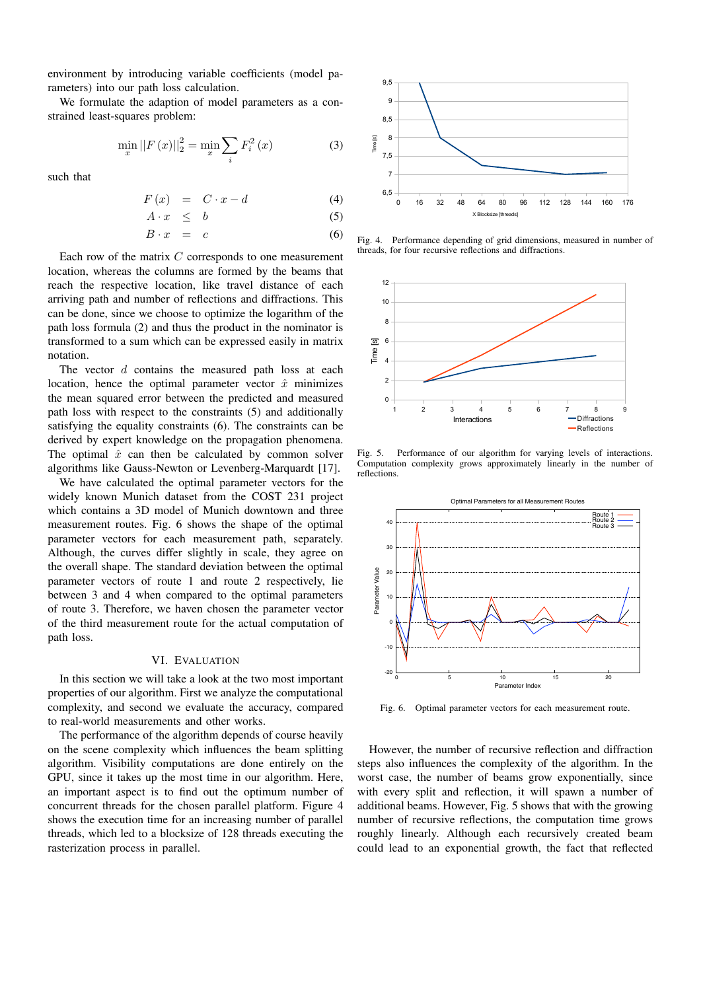environment by introducing variable coefficients (model parameters) into our path loss calculation.

We formulate the adaption of model parameters as a constrained least-squares problem:

$$
\min_{x} ||F(x)||_{2}^{2} = \min_{x} \sum_{i} F_{i}^{2}(x)
$$
\n(3)

such that

$$
F(x) = C \cdot x - d \tag{4}
$$

$$
A \cdot x \leq b \tag{5}
$$

$$
B \cdot x = c \tag{6}
$$

Each row of the matrix  $C$  corresponds to one measurement location, whereas the columns are formed by the beams that reach the respective location, like travel distance of each arriving path and number of reflections and diffractions. This can be done, since we choose to optimize the logarithm of the path loss formula (2) and thus the product in the nominator is transformed to a sum which can be expressed easily in matrix notation.

The vector  $d$  contains the measured path loss at each location, hence the optimal parameter vector  $\hat{x}$  minimizes the mean squared error between the predicted and measured path loss with respect to the constraints (5) and additionally satisfying the equality constraints (6). The constraints can be derived by expert knowledge on the propagation phenomena. The optimal  $\hat{x}$  can then be calculated by common solver algorithms like Gauss-Newton or Levenberg-Marquardt [17].

We have calculated the optimal parameter vectors for the widely known Munich dataset from the COST 231 project which contains a 3D model of Munich downtown and three measurement routes. Fig. 6 shows the shape of the optimal parameter vectors for each measurement path, separately. Although, the curves differ slightly in scale, they agree on the overall shape. The standard deviation between the optimal parameter vectors of route 1 and route 2 respectively, lie between 3 and 4 when compared to the optimal parameters of route 3. Therefore, we haven chosen the parameter vector of the third measurement route for the actual computation of path loss.

# VI. EVALUATION

In this section we will take a look at the two most important properties of our algorithm. First we analyze the computational complexity, and second we evaluate the accuracy, compared to real-world measurements and other works.

The performance of the algorithm depends of course heavily on the scene complexity which influences the beam splitting algorithm. Visibility computations are done entirely on the GPU, since it takes up the most time in our algorithm. Here, an important aspect is to find out the optimum number of concurrent threads for the chosen parallel platform. Figure 4 shows the execution time for an increasing number of parallel threads, which led to a blocksize of 128 threads executing the rasterization process in parallel.



Fig. 4. Performance depending of grid dimensions, measured in number of threads, for four recursive reflections and diffractions.



Fig. 5. Performance of our algorithm for varying levels of interactions. Computation complexity grows approximately linearly in the number of reflections.



Fig. 6. Optimal parameter vectors for each measurement route.

However, the number of recursive reflection and diffraction steps also influences the complexity of the algorithm. In the worst case, the number of beams grow exponentially, since with every split and reflection, it will spawn a number of additional beams. However, Fig. 5 shows that with the growing number of recursive reflections, the computation time grows roughly linearly. Although each recursively created beam could lead to an exponential growth, the fact that reflected